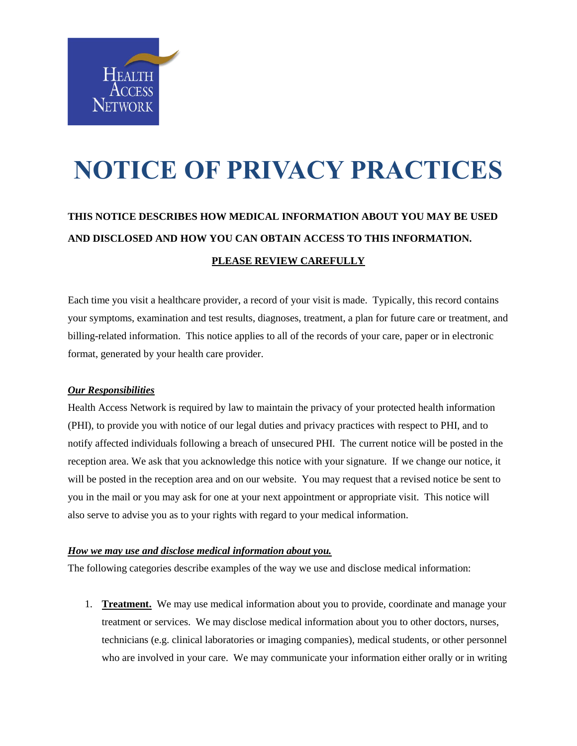

# **NOTICE OF PRIVACY PRACTICES**

## **THIS NOTICE DESCRIBES HOW MEDICAL INFORMATION ABOUT YOU MAY BE USED AND DISCLOSED AND HOW YOU CAN OBTAIN ACCESS TO THIS INFORMATION. PLEASE REVIEW CAREFULLY**

Each time you visit a healthcare provider, a record of your visit is made. Typically, this record contains your symptoms, examination and test results, diagnoses, treatment, a plan for future care or treatment, and billing-related information. This notice applies to all of the records of your care, paper or in electronic format, generated by your health care provider.

#### *Our Responsibilities*

Health Access Network is required by law to maintain the privacy of your protected health information (PHI), to provide you with notice of our legal duties and privacy practices with respect to PHI, and to notify affected individuals following a breach of unsecured PHI. The current notice will be posted in the reception area. We ask that you acknowledge this notice with your signature. If we change our notice, it will be posted in the reception area and on our website. You may request that a revised notice be sent to you in the mail or you may ask for one at your next appointment or appropriate visit. This notice will also serve to advise you as to your rights with regard to your medical information.

#### *How we may use and disclose medical information about you.*

The following categories describe examples of the way we use and disclose medical information:

1. **Treatment.** We may use medical information about you to provide, coordinate and manage your treatment or services. We may disclose medical information about you to other doctors, nurses, technicians (e.g. clinical laboratories or imaging companies), medical students, or other personnel who are involved in your care. We may communicate your information either orally or in writing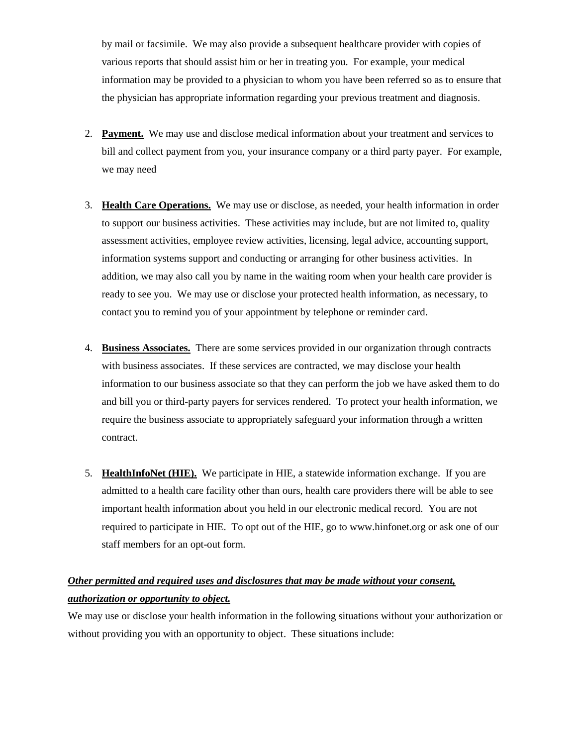by mail or facsimile. We may also provide a subsequent healthcare provider with copies of various reports that should assist him or her in treating you. For example, your medical information may be provided to a physician to whom you have been referred so as to ensure that the physician has appropriate information regarding your previous treatment and diagnosis.

- 2. **Payment.** We may use and disclose medical information about your treatment and services to bill and collect payment from you, your insurance company or a third party payer. For example, we may need
- 3. **Health Care Operations.** We may use or disclose, as needed, your health information in order to support our business activities. These activities may include, but are not limited to, quality assessment activities, employee review activities, licensing, legal advice, accounting support, information systems support and conducting or arranging for other business activities. In addition, we may also call you by name in the waiting room when your health care provider is ready to see you. We may use or disclose your protected health information, as necessary, to contact you to remind you of your appointment by telephone or reminder card.
- 4. **Business Associates.** There are some services provided in our organization through contracts with business associates. If these services are contracted, we may disclose your health information to our business associate so that they can perform the job we have asked them to do and bill you or third-party payers for services rendered. To protect your health information, we require the business associate to appropriately safeguard your information through a written contract.
- 5. **HealthInfoNet (HIE).** We participate in HIE, a statewide information exchange. If you are admitted to a health care facility other than ours, health care providers there will be able to see important health information about you held in our electronic medical record. You are not required to participate in HIE. To opt out of the HIE, go to www.hinfonet.org or ask one of our staff members for an opt-out form.

### *Other permitted and required uses and disclosures that may be made without your consent, authorization or opportunity to object.*

We may use or disclose your health information in the following situations without your authorization or without providing you with an opportunity to object. These situations include: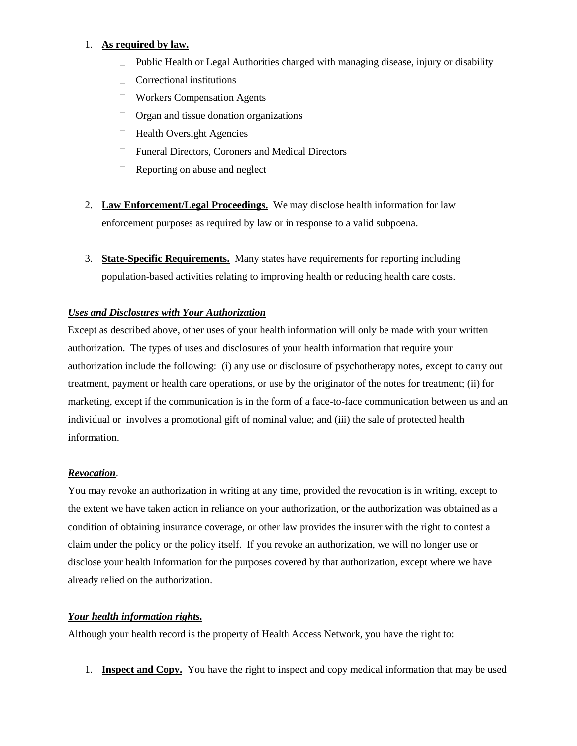#### 1. **As required by law.**

- Public Health or Legal Authorities charged with managing disease, injury or disability
- $\Box$  Correctional institutions
- Workers Compensation Agents
- Organ and tissue donation organizations
- $\Box$  Health Oversight Agencies
- □ Funeral Directors, Coroners and Medical Directors
- Reporting on abuse and neglect
- 2. **Law Enforcement/Legal Proceedings.** We may disclose health information for law enforcement purposes as required by law or in response to a valid subpoena.
- 3. **State-Specific Requirements.** Many states have requirements for reporting including population-based activities relating to improving health or reducing health care costs.

#### *Uses and Disclosures with Your Authorization*

Except as described above, other uses of your health information will only be made with your written authorization. The types of uses and disclosures of your health information that require your authorization include the following: (i) any use or disclosure of psychotherapy notes, except to carry out treatment, payment or health care operations, or use by the originator of the notes for treatment; (ii) for marketing, except if the communication is in the form of a face-to-face communication between us and an individual or involves a promotional gift of nominal value; and (iii) the sale of protected health information.

#### *Revocation*.

You may revoke an authorization in writing at any time, provided the revocation is in writing, except to the extent we have taken action in reliance on your authorization, or the authorization was obtained as a condition of obtaining insurance coverage, or other law provides the insurer with the right to contest a claim under the policy or the policy itself. If you revoke an authorization, we will no longer use or disclose your health information for the purposes covered by that authorization, except where we have already relied on the authorization.

#### *Your health information rights.*

Although your health record is the property of Health Access Network, you have the right to:

1. **Inspect and Copy.** You have the right to inspect and copy medical information that may be used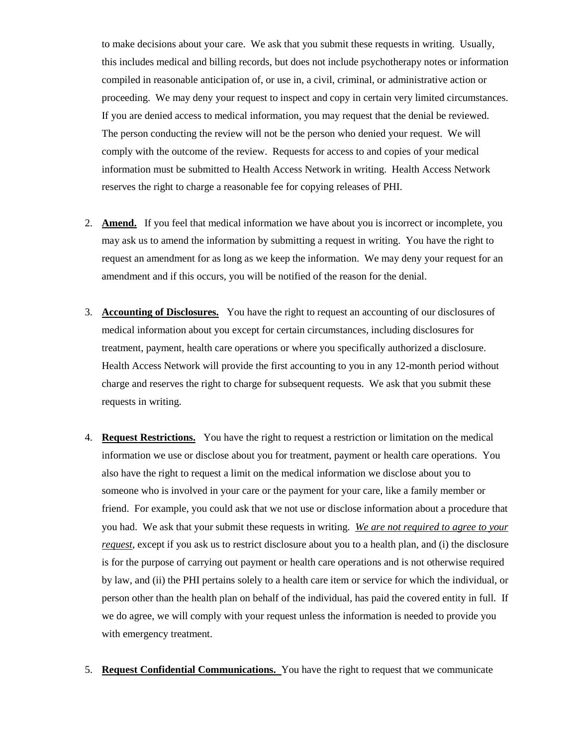to make decisions about your care. We ask that you submit these requests in writing. Usually, this includes medical and billing records, but does not include psychotherapy notes or information compiled in reasonable anticipation of, or use in, a civil, criminal, or administrative action or proceeding. We may deny your request to inspect and copy in certain very limited circumstances. If you are denied access to medical information, you may request that the denial be reviewed. The person conducting the review will not be the person who denied your request. We will comply with the outcome of the review. Requests for access to and copies of your medical information must be submitted to Health Access Network in writing. Health Access Network reserves the right to charge a reasonable fee for copying releases of PHI.

- 2. **Amend.** If you feel that medical information we have about you is incorrect or incomplete, you may ask us to amend the information by submitting a request in writing. You have the right to request an amendment for as long as we keep the information. We may deny your request for an amendment and if this occurs, you will be notified of the reason for the denial.
- 3. **Accounting of Disclosures.** You have the right to request an accounting of our disclosures of medical information about you except for certain circumstances, including disclosures for treatment, payment, health care operations or where you specifically authorized a disclosure. Health Access Network will provide the first accounting to you in any 12-month period without charge and reserves the right to charge for subsequent requests. We ask that you submit these requests in writing.
- 4. **Request Restrictions.** You have the right to request a restriction or limitation on the medical information we use or disclose about you for treatment, payment or health care operations. You also have the right to request a limit on the medical information we disclose about you to someone who is involved in your care or the payment for your care, like a family member or friend. For example, you could ask that we not use or disclose information about a procedure that you had. We ask that your submit these requests in writing. *We are not required to agree to your request*, except if you ask us to restrict disclosure about you to a health plan, and (i) the disclosure is for the purpose of carrying out payment or health care operations and is not otherwise required by law, and (ii) the PHI pertains solely to a health care item or service for which the individual, or person other than the health plan on behalf of the individual, has paid the covered entity in full.If we do agree, we will comply with your request unless the information is needed to provide you with emergency treatment.
- 5. **Request Confidential Communications.** You have the right to request that we communicate